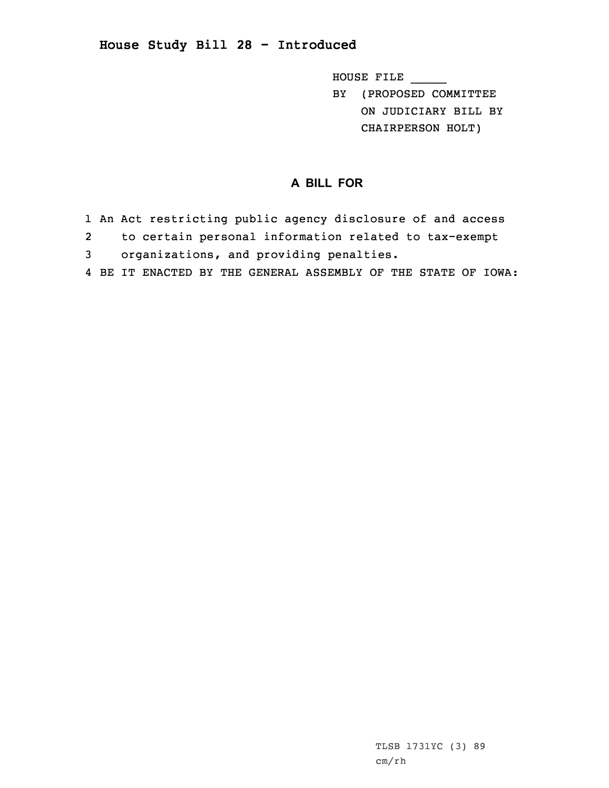## **House Study Bill 28 - Introduced**

HOUSE FILE \_\_\_\_\_

BY (PROPOSED COMMITTEE ON JUDICIARY BILL BY CHAIRPERSON HOLT)

## **A BILL FOR**

- 1 An Act restricting public agency disclosure of and access
- 2to certain personal information related to tax-exempt
- 3 organizations, and providing penalties.
- 4 BE IT ENACTED BY THE GENERAL ASSEMBLY OF THE STATE OF IOWA: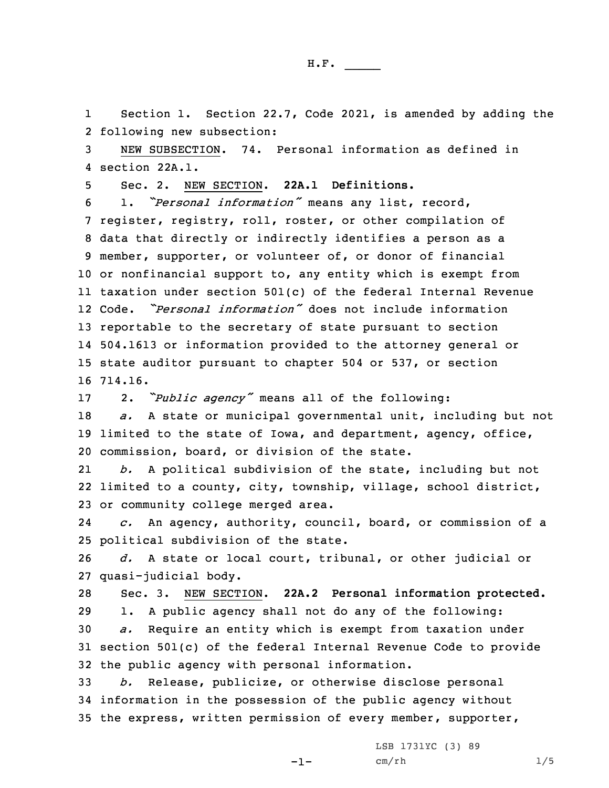H.F. \_\_\_\_\_

1 Section 1. Section 22.7, Code 2021, is amended by adding the 2 following new subsection:

3 NEW SUBSECTION. 74. Personal information as defined in 4 section 22A.1.

5 Sec. 2. NEW SECTION. **22A.1 Definitions.**

 1. *"Personal information"* means any list, record, register, registry, roll, roster, or other compilation of data that directly or indirectly identifies <sup>a</sup> person as <sup>a</sup> member, supporter, or volunteer of, or donor of financial or nonfinancial support to, any entity which is exempt from taxation under section 501(c) of the federal Internal Revenue Code. *"Personal information"* does not include information reportable to the secretary of state pursuant to section 504.1613 or information provided to the attorney general or state auditor pursuant to chapter 504 or 537, or section 16 714.16.

<sup>17</sup> 2. *"Public agency"* means all of the following:

18 *a.* <sup>A</sup> state or municipal governmental unit, including but not 19 limited to the state of Iowa, and department, agency, office, 20 commission, board, or division of the state.

21 *b.* <sup>A</sup> political subdivision of the state, including but not 22 limited to <sup>a</sup> county, city, township, village, school district, 23 or community college merged area.

24 *c.* An agency, authority, council, board, or commission of <sup>a</sup> 25 political subdivision of the state.

26 *d.* <sup>A</sup> state or local court, tribunal, or other judicial or 27 quasi-judicial body.

 Sec. 3. NEW SECTION. **22A.2 Personal information protected.** 1. <sup>A</sup> public agency shall not do any of the following: *a.* Require an entity which is exempt from taxation under section 501(c) of the federal Internal Revenue Code to provide the public agency with personal information.

33 *b.* Release, publicize, or otherwise disclose personal 34 information in the possession of the public agency without 35 the express, written permission of every member, supporter,

 $-1-$ 

LSB 1731YC (3) 89 cm/rh 1/5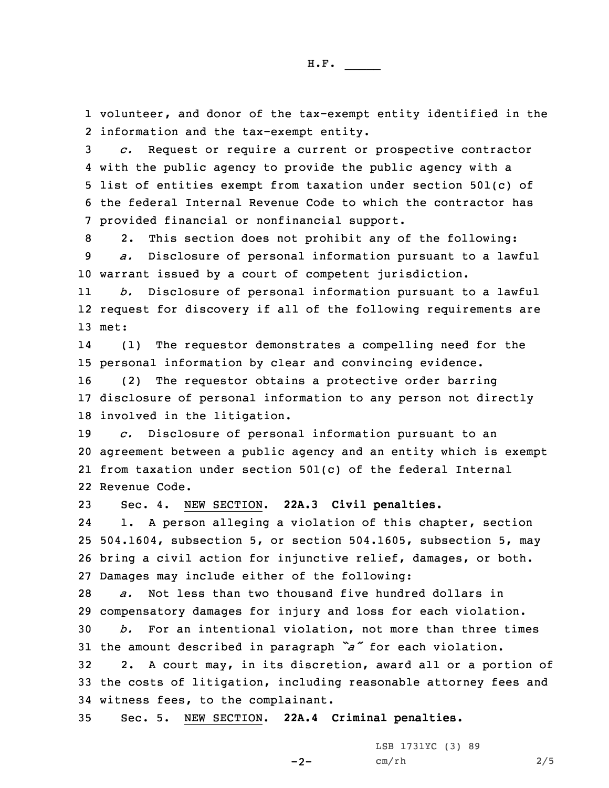1 volunteer, and donor of the tax-exempt entity identified in the 2 information and the tax-exempt entity.

 *c.* Request or require <sup>a</sup> current or prospective contractor with the public agency to provide the public agency with <sup>a</sup> list of entities exempt from taxation under section 501(c) of the federal Internal Revenue Code to which the contractor has provided financial or nonfinancial support.

8 2. This section does not prohibit any of the following: 9 *a.* Disclosure of personal information pursuant to <sup>a</sup> lawful 10 warrant issued by <sup>a</sup> court of competent jurisdiction.

11 *b.* Disclosure of personal information pursuant to <sup>a</sup> lawful 12 request for discovery if all of the following requirements are 13 met:

14 (1) The requestor demonstrates <sup>a</sup> compelling need for the 15 personal information by clear and convincing evidence.

16 (2) The requestor obtains <sup>a</sup> protective order barring 17 disclosure of personal information to any person not directly 18 involved in the litigation.

 *c.* Disclosure of personal information pursuant to an agreement between <sup>a</sup> public agency and an entity which is exempt from taxation under section 501(c) of the federal Internal Revenue Code.

23 Sec. 4. NEW SECTION. **22A.3 Civil penalties.**

24 1. <sup>A</sup> person alleging <sup>a</sup> violation of this chapter, section 25 504.1604, subsection 5, or section 504.1605, subsection 5, may 26 bring <sup>a</sup> civil action for injunctive relief, damages, or both. 27 Damages may include either of the following:

 *a.* Not less than two thousand five hundred dollars in compensatory damages for injury and loss for each violation. *b.* For an intentional violation, not more than three times the amount described in paragraph *"a"* for each violation. 2. <sup>A</sup> court may, in its discretion, award all or <sup>a</sup> portion of

33 the costs of litigation, including reasonable attorney fees and 34 witness fees, to the complainant.

 $-2-$ 

35 Sec. 5. NEW SECTION. **22A.4 Criminal penalties.**

LSB 1731YC (3) 89 cm/rh 2/5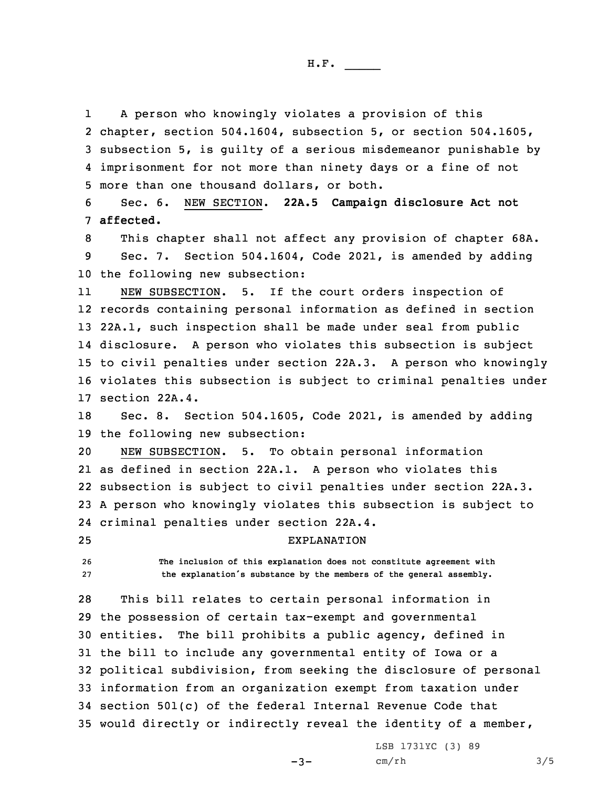1 <sup>A</sup> person who knowingly violates <sup>a</sup> provision of this chapter, section 504.1604, subsection 5, or section 504.1605, subsection 5, is guilty of <sup>a</sup> serious misdemeanor punishable by imprisonment for not more than ninety days or <sup>a</sup> fine of not more than one thousand dollars, or both.

6 Sec. 6. NEW SECTION. **22A.5 Campaign disclosure Act not** 7 **affected.**

8 This chapter shall not affect any provision of chapter 68A. 9 Sec. 7. Section 504.1604, Code 2021, is amended by adding 10 the following new subsection:

11 NEW SUBSECTION. 5. If the court orders inspection of records containing personal information as defined in section 22A.1, such inspection shall be made under seal from public disclosure. <sup>A</sup> person who violates this subsection is subject to civil penalties under section 22A.3. <sup>A</sup> person who knowingly violates this subsection is subject to criminal penalties under section 22A.4.

18 Sec. 8. Section 504.1605, Code 2021, is amended by adding 19 the following new subsection:

 NEW SUBSECTION. 5. To obtain personal information as defined in section 22A.1. <sup>A</sup> person who violates this subsection is subject to civil penalties under section 22A.3. <sup>A</sup> person who knowingly violates this subsection is subject to criminal penalties under section 22A.4.

25 EXPLANATION

26 **The inclusion of this explanation does not constitute agreement with** <sup>27</sup> **the explanation's substance by the members of the general assembly.**

 This bill relates to certain personal information in the possession of certain tax-exempt and governmental entities. The bill prohibits <sup>a</sup> public agency, defined in the bill to include any governmental entity of Iowa or <sup>a</sup> political subdivision, from seeking the disclosure of personal information from an organization exempt from taxation under section 501(c) of the federal Internal Revenue Code that would directly or indirectly reveal the identity of <sup>a</sup> member,

 $-3-$ 

LSB 1731YC (3) 89 cm/rh 3/5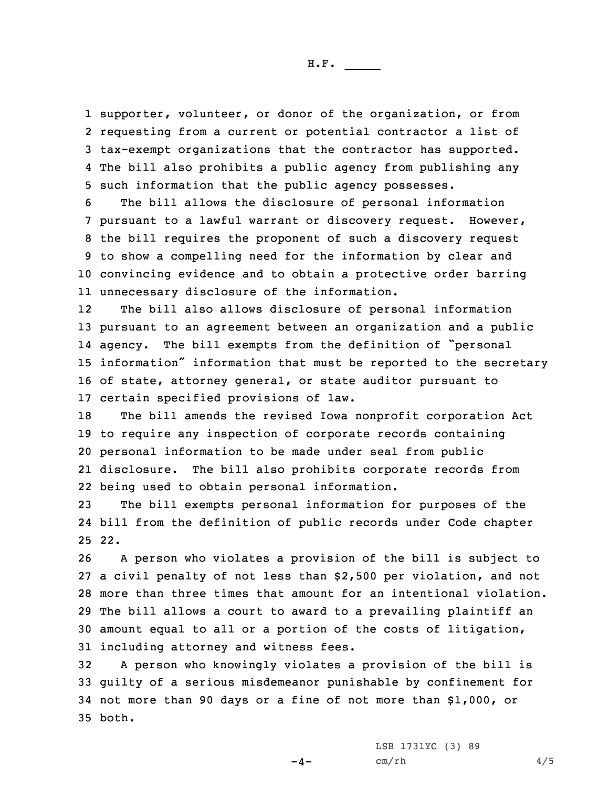supporter, volunteer, or donor of the organization, or from requesting from <sup>a</sup> current or potential contractor <sup>a</sup> list of tax-exempt organizations that the contractor has supported. The bill also prohibits <sup>a</sup> public agency from publishing any such information that the public agency possesses.

 The bill allows the disclosure of personal information pursuant to <sup>a</sup> lawful warrant or discovery request. However, the bill requires the proponent of such <sup>a</sup> discovery request to show <sup>a</sup> compelling need for the information by clear and convincing evidence and to obtain <sup>a</sup> protective order barring unnecessary disclosure of the information.

12 The bill also allows disclosure of personal information pursuant to an agreement between an organization and <sup>a</sup> public agency. The bill exempts from the definition of "personal information" information that must be reported to the secretary of state, attorney general, or state auditor pursuant to certain specified provisions of law.

 The bill amends the revised Iowa nonprofit corporation Act to require any inspection of corporate records containing personal information to be made under seal from public disclosure. The bill also prohibits corporate records from being used to obtain personal information.

23 The bill exempts personal information for purposes of the 24 bill from the definition of public records under Code chapter 25 22.

 <sup>A</sup> person who violates <sup>a</sup> provision of the bill is subject to <sup>a</sup> civil penalty of not less than \$2,500 per violation, and not more than three times that amount for an intentional violation. The bill allows <sup>a</sup> court to award to <sup>a</sup> prevailing plaintiff an amount equal to all or <sup>a</sup> portion of the costs of litigation, including attorney and witness fees.

 <sup>A</sup> person who knowingly violates <sup>a</sup> provision of the bill is guilty of <sup>a</sup> serious misdemeanor punishable by confinement for not more than 90 days or <sup>a</sup> fine of not more than \$1,000, or 35 both.

 $-4-$ 

LSB 1731YC (3) 89  $cm/rh$  4/5